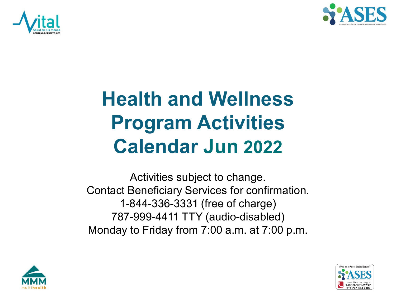



## **Health and Wellness Program Activities Calendar Jun 2022**

Activities subject to change. Contact Beneficiary Services for confirmation. 1-844-336-3331 (free of charge) 787-999-4411 TTY (audio-disabled) Monday to Friday from 7:00 a.m. at 7:00 p.m.



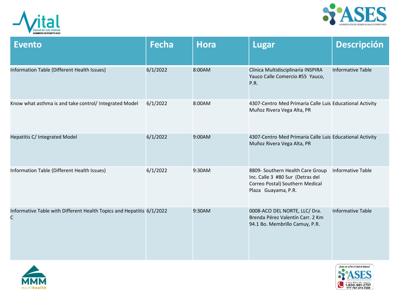



| <b>Evento</b>                                                              | <b>Fecha</b> | <b>Hora</b> | <b>Lugar</b>                                                                                                                   | <b>Descripción</b>       |
|----------------------------------------------------------------------------|--------------|-------------|--------------------------------------------------------------------------------------------------------------------------------|--------------------------|
| Information Table (Different Health Issues)                                | 6/1/2022     | 8:00AM      | Clínica Multidisciplinaria INSPIRA<br>Yauco Calle Comercio #55 Yauco,<br>P.R.                                                  | <b>Informative Table</b> |
| Know what asthma is and take control/ Integrated Model                     | 6/1/2022     | 8:00AM      | 4307-Centro Med Primaria Calle Luis Educational Activity<br>Muñoz Rivera Vega Alta, PR                                         |                          |
| Hepatitis C/ Integrated Model                                              | 6/1/2022     | 9:00AM      | 4307-Centro Med Primaria Calle Luis Educational Activity<br>Muñoz Rivera Vega Alta, PR                                         |                          |
| Information Table (Different Health Issues)                                | 6/1/2022     | 9:30AM      | 8809- Southern Health Care Group<br>Inc. Calle 3 #80 Sur (Detras del<br>Correo Postal) Southern Medical<br>Plaza Guayama, P.R. | <b>Informative Table</b> |
| Informative Table with Different Health Topics and Hepatitis 6/1/2022<br>C |              | 9:30AM      | 0008-ACO DEL NORTE, LLC/ Dra.<br>Brenda Pérez Valentín Carr. 2 Km<br>94.1 Bo. Membrillo Camuy, P.R.                            | <b>Informative Table</b> |



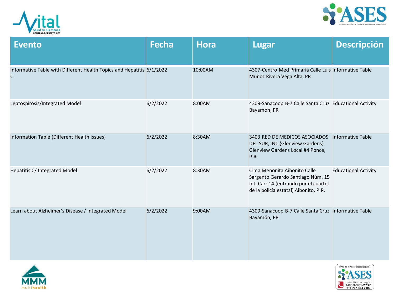



| <b>Evento</b>                                                              | <b>Fecha</b> | <b>Hora</b> | <b>Lugar</b>                                                                                                                                        | <b>Descripción</b>          |
|----------------------------------------------------------------------------|--------------|-------------|-----------------------------------------------------------------------------------------------------------------------------------------------------|-----------------------------|
| Informative Table with Different Health Topics and Hepatitis 6/1/2022<br>C |              | 10:00AM     | 4307-Centro Med Primaria Calle Luis Informative Table<br>Muñoz Rivera Vega Alta, PR                                                                 |                             |
| Leptospirosis/Integrated Model                                             | 6/2/2022     | 8:00AM      | 4309-Sanacoop B-7 Calle Santa Cruz Educational Activity<br>Bayamón, PR                                                                              |                             |
| Information Table (Different Health Issues)                                | 6/2/2022     | 8:30AM      | 3403 RED DE MEDICOS ASOCIADOS<br>DEL SUR, INC (Glenview Gardens)<br>Glenview Gardens Local #4 Ponce,<br>P.R.                                        | <b>Informative Table</b>    |
| Hepatitis C/ Integrated Model                                              | 6/2/2022     | 8:30AM      | Cima Menonita Aibonito Calle<br>Sargento Gerardo Santiago Núm. 15<br>Int. Carr 14 (entrando por el cuartel<br>de la policía estatal) Aibonito, P.R. | <b>Educational Activity</b> |
| Learn about Alzheimer's Disease / Integrated Model                         | 6/2/2022     | 9:00AM      | 4309-Sanacoop B-7 Calle Santa Cruz Informative Table<br>Bayamón, PR                                                                                 |                             |



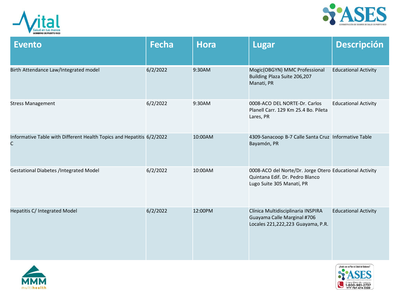



| <b>Evento</b>                                                              | <b>Fecha</b> | <b>Hora</b> | <b>Lugar</b>                                                                                                            | <b>Descripción</b>          |
|----------------------------------------------------------------------------|--------------|-------------|-------------------------------------------------------------------------------------------------------------------------|-----------------------------|
| Birth Attendance Law/Integrated model                                      | 6/2/2022     | 9:30AM      | Mogic(OBGYN) MMC Professional<br>Building Plaza Suite 206,207<br>Manati, PR                                             | <b>Educational Activity</b> |
| <b>Stress Management</b>                                                   | 6/2/2022     | 9:30AM      | 0008-ACO DEL NORTE-Dr. Carlos<br>Planell Carr. 129 Km 25.4 Bo. Pileta<br>Lares, PR                                      | <b>Educational Activity</b> |
| Informative Table with Different Health Topics and Hepatitis 6/2/2022<br>C |              | 10:00AM     | 4309-Sanacoop B-7 Calle Santa Cruz Informative Table<br>Bayamón, PR                                                     |                             |
| <b>Gestational Diabetes /Integrated Model</b>                              | 6/2/2022     | 10:00AM     | 0008-ACO del Norte/Dr. Jorge Otero Educational Activity<br>Quintana Edif. Dr. Pedro Blanco<br>Lugo Suite 305 Manatí, PR |                             |
| Hepatitis C/ Integrated Model                                              | 6/2/2022     | 12:00PM     | Clínica Multidisciplinaria INSPIRA<br>Guayama Calle Marginal #706<br>Locales 221,222,223 Guayama, P.R.                  | <b>Educational Activity</b> |



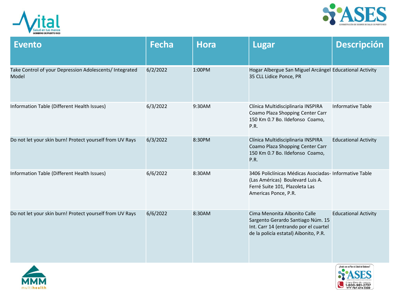



| <b>Evento</b>                                                    | <b>Fecha</b> | <b>Hora</b> | <b>Lugar</b>                                                                                                                                         | <b>Descripción</b>          |
|------------------------------------------------------------------|--------------|-------------|------------------------------------------------------------------------------------------------------------------------------------------------------|-----------------------------|
| Take Control of your Depression Adolescents/ Integrated<br>Model | 6/2/2022     | 1:00PM      | Hogar Albergue San Miguel Arcángel Educational Activity<br>35 CLL Lidice Ponce, PR                                                                   |                             |
| Information Table (Different Health Issues)                      | 6/3/2022     | 9:30AM      | Clínica Multidisciplinaria INSPIRA<br>Coamo Plaza Shopping Center Carr<br>150 Km 0.7 Bo. Ildefonso Coamo,<br>P.R.                                    | <b>Informative Table</b>    |
| Do not let your skin burn! Protect yourself from UV Rays         | 6/3/2022     | 8:30PM      | Clínica Multidisciplinaria INSPIRA<br>Coamo Plaza Shopping Center Carr<br>150 Km 0.7 Bo. Ildefonso Coamo,<br>P.R.                                    | <b>Educational Activity</b> |
| Information Table (Different Health Issues)                      | 6/6/2022     | 8:30AM      | 3406 Policlínicas Médicas Asociadas- Informative Table<br>(Las Américas) Boulevard Luis A.<br>Ferré Suite 101, Plazoleta Las<br>Americas Ponce, P.R. |                             |
| Do not let your skin burn! Protect yourself from UV Rays         | 6/6/2022     | 8:30AM      | Cima Menonita Aibonito Calle<br>Sargento Gerardo Santiago Núm. 15<br>Int. Carr 14 (entrando por el cuartel<br>de la policía estatal) Aibonito, P.R.  | <b>Educational Activity</b> |



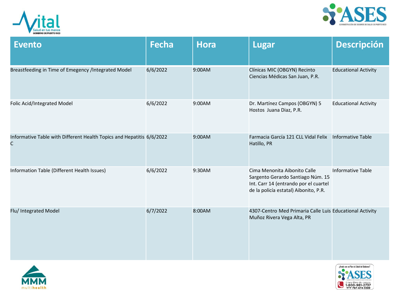



| <b>Evento</b>                                                              | <b>Fecha</b> | <b>Hora</b> | <b>Lugar</b>                                                                                                                                        | <b>Descripción</b>          |
|----------------------------------------------------------------------------|--------------|-------------|-----------------------------------------------------------------------------------------------------------------------------------------------------|-----------------------------|
| Breastfeeding in Time of Emegency /Integrated Model                        | 6/6/2022     | 9:00AM      | Clínicas MIC (OBGYN) Recinto<br>Ciencias Médicas San Juan, P.R.                                                                                     | <b>Educational Activity</b> |
| Folic Acid/Integrated Model                                                | 6/6/2022     | 9:00AM      | Dr. Martínez Campos (OBGYN) 5<br>Hostos Juana Diaz, P.R.                                                                                            | <b>Educational Activity</b> |
| Informative Table with Different Health Topics and Hepatitis 6/6/2022<br>C |              | 9:00AM      | Farmacia García 121 CLL Vidal Felix<br>Hatillo, PR                                                                                                  | Informative Table           |
| Information Table (Different Health Issues)                                | 6/6/2022     | 9:30AM      | Cima Menonita Aibonito Calle<br>Sargento Gerardo Santiago Núm. 15<br>Int. Carr 14 (entrando por el cuartel<br>de la policía estatal) Aibonito, P.R. | <b>Informative Table</b>    |
| Flu/ Integrated Model                                                      | 6/7/2022     | 8:00AM      | 4307-Centro Med Primaria Calle Luis Educational Activity<br>Muñoz Rivera Vega Alta, PR                                                              |                             |



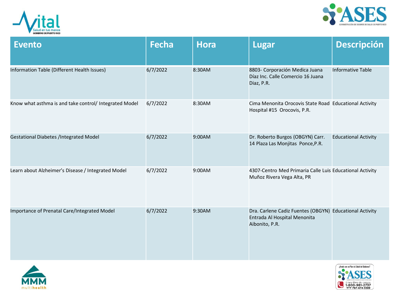



| <b>Evento</b>                                          | <b>Fecha</b> | <b>Hora</b> | <b>Lugar</b>                                                                                              | <b>Descripción</b>          |
|--------------------------------------------------------|--------------|-------------|-----------------------------------------------------------------------------------------------------------|-----------------------------|
| Information Table (Different Health Issues)            | 6/7/2022     | 8:30AM      | 8803- Corporación Medica Juana<br>Díaz Inc. Calle Comercio 16 Juana<br>Diaz, P.R.                         | <b>Informative Table</b>    |
| Know what asthma is and take control/ Integrated Model | 6/7/2022     | 8:30AM      | Cima Menonita Orocovis State Road Educational Activity<br>Hospital #15 Orocovis, P.R.                     |                             |
| <b>Gestational Diabetes /Integrated Model</b>          | 6/7/2022     | 9:00AM      | Dr. Roberto Burgos (OBGYN) Carr.<br>14 Plaza Las Monjitas Ponce, P.R.                                     | <b>Educational Activity</b> |
| Learn about Alzheimer's Disease / Integrated Model     | 6/7/2022     | 9:00AM      | 4307-Centro Med Primaria Calle Luis Educational Activity<br>Muñoz Rivera Vega Alta, PR                    |                             |
| Importance of Prenatal Care/Integrated Model           | 6/7/2022     | 9:30AM      | Dra. Carlene Cadiz Fuentes (OBGYN) Educational Activity<br>Entrada Al Hospital Menonita<br>Aibonito, P.R. |                             |



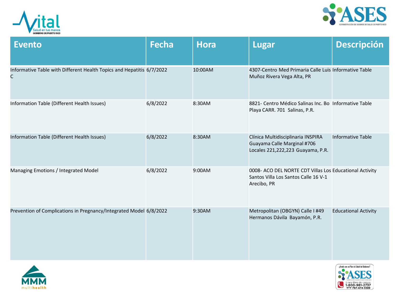



| <b>Evento</b>                                                              | <b>Fecha</b> | <b>Hora</b> | <b>Lugar</b>                                                                                                   | <b>Descripción</b>          |
|----------------------------------------------------------------------------|--------------|-------------|----------------------------------------------------------------------------------------------------------------|-----------------------------|
| Informative Table with Different Health Topics and Hepatitis 6/7/2022<br>C |              | 10:00AM     | 4307-Centro Med Primaria Calle Luis Informative Table<br>Muñoz Rivera Vega Alta, PR                            |                             |
| Information Table (Different Health Issues)                                | 6/8/2022     | 8:30AM      | 8821- Centro Médico Salinas Inc. Bo Informative Table<br>Playa CARR. 701 Salinas, P.R.                         |                             |
| Information Table (Different Health Issues)                                | 6/8/2022     | 8:30AM      | Clínica Multidisciplinaria INSPIRA<br>Guayama Calle Marginal #706<br>Locales 221,222,223 Guayama, P.R.         | <b>Informative Table</b>    |
| Managing Emotions / Integrated Model                                       | 6/8/2022     | 9:00AM      | 0008- ACO DEL NORTE CDT Villas Los Educational Activity<br>Santos Villa Los Santos Calle 16 V-1<br>Arecibo, PR |                             |
| Prevention of Complications in Pregnancy/Integrated Model 6/8/2022         |              | 9:30AM      | Metropolitan (OBGYN) Calle I #49<br>Hermanos Dávila Bayamón, P.R.                                              | <b>Educational Activity</b> |



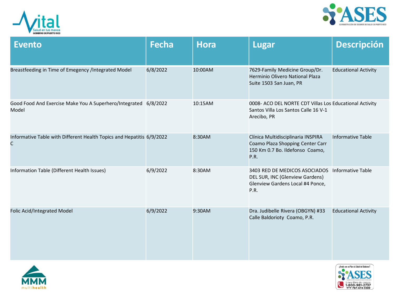



| <b>Evento</b>                                                              | <b>Fecha</b> | <b>Hora</b> | <b>Lugar</b>                                                                                                      | <b>Descripción</b>          |
|----------------------------------------------------------------------------|--------------|-------------|-------------------------------------------------------------------------------------------------------------------|-----------------------------|
| Breastfeeding in Time of Emegency /Integrated Model                        | 6/8/2022     | 10:00AM     | 7629-Family Medicine Group/Dr.<br>Herminio Olivero National Plaza<br>Suite 1503 San Juan, PR                      | <b>Educational Activity</b> |
| Good Food And Exercise Make You A Superhero/Integrated 6/8/2022<br>Model   |              | 10:15AM     | 0008- ACO DEL NORTE CDT Villas Los Educational Activity<br>Santos Villa Los Santos Calle 16 V-1<br>Arecibo, PR    |                             |
| Informative Table with Different Health Topics and Hepatitis 6/9/2022<br>C |              | 8:30AM      | Clínica Multidisciplinaria INSPIRA<br>Coamo Plaza Shopping Center Carr<br>150 Km 0.7 Bo. Ildefonso Coamo,<br>P.R. | <b>Informative Table</b>    |
| Information Table (Different Health Issues)                                | 6/9/2022     | 8:30AM      | 3403 RED DE MEDICOS ASOCIADOS<br>DEL SUR, INC (Glenview Gardens)<br>Glenview Gardens Local #4 Ponce,<br>P.R.      | Informative Table           |
| Folic Acid/Integrated Model                                                | 6/9/2022     | 9:30AM      | Dra. Judibelle Rivera (OBGYN) #33<br>Calle Baldorioty Coamo, P.R.                                                 | <b>Educational Activity</b> |



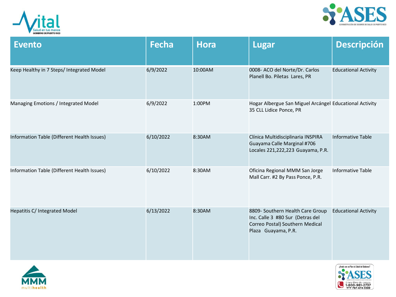



| <b>Evento</b>                               | <b>Fecha</b> | <b>Hora</b> | <b>Lugar</b>                                                                                                                   | <b>Descripción</b>          |
|---------------------------------------------|--------------|-------------|--------------------------------------------------------------------------------------------------------------------------------|-----------------------------|
| Keep Healthy in 7 Steps/ Integrated Model   | 6/9/2022     | 10:00AM     | 0008- ACO del Norte/Dr. Carlos<br>Planell Bo. Piletas Lares, PR                                                                | <b>Educational Activity</b> |
| Managing Emotions / Integrated Model        | 6/9/2022     | 1:00PM      | Hogar Albergue San Miguel Arcángel Educational Activity<br>35 CLL Lidice Ponce, PR                                             |                             |
| Information Table (Different Health Issues) | 6/10/2022    | 8:30AM      | Clínica Multidisciplinaria INSPIRA<br>Guayama Calle Marginal #706<br>Locales 221,222,223 Guayama, P.R.                         | <b>Informative Table</b>    |
| Information Table (Different Health Issues) | 6/10/2022    | 8:30AM      | Oficina Regional MMM San Jorge<br>Mall Carr. #2 By Pass Ponce, P.R.                                                            | <b>Informative Table</b>    |
| Hepatitis C/ Integrated Model               | 6/13/2022    | 8:30AM      | 8809- Southern Health Care Group<br>Inc. Calle 3 #80 Sur (Detras del<br>Correo Postal) Southern Medical<br>Plaza Guayama, P.R. | <b>Educational Activity</b> |



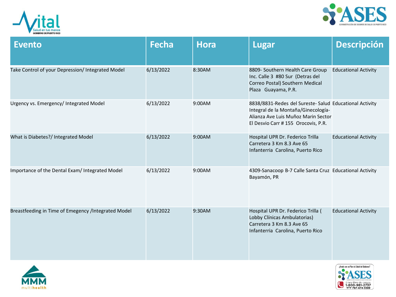



| <b>Evento</b>                                       | <b>Fecha</b> | <b>Hora</b> | <b>Lugar</b>                                                                                                                                                                 | <b>Descripción</b>          |
|-----------------------------------------------------|--------------|-------------|------------------------------------------------------------------------------------------------------------------------------------------------------------------------------|-----------------------------|
| Take Control of your Depression/ Integrated Model   | 6/13/2022    | 8:30AM      | 8809- Southern Health Care Group<br>Inc. Calle 3 #80 Sur (Detras del<br>Correo Postal) Southern Medical<br>Plaza Guayama, P.R.                                               | <b>Educational Activity</b> |
| Urgency vs. Emergency/ Integrated Model             | 6/13/2022    | 9:00AM      | 8838/8831-Redes del Sureste- Salud Educational Activity<br>Integral de la Montaña/Ginecología-<br>Alianza Ave Luis Muñoz Marin Sector<br>El Desvio Carr # 155 Orocovis, P.R. |                             |
| What is Diabetes?/ Integrated Model                 | 6/13/2022    | 9:00AM      | Hospital UPR Dr. Federico Trilla<br>Carretera 3 Km 8.3 Ave 65<br>Infanterria Carolina, Puerto Rico                                                                           | <b>Educational Activity</b> |
| Importance of the Dental Exam/ Integrated Model     | 6/13/2022    | 9:00AM      | 4309-Sanacoop B-7 Calle Santa Cruz Educational Activity<br>Bayamón, PR                                                                                                       |                             |
| Breastfeeding in Time of Emegency /Integrated Model | 6/13/2022    | 9:30AM      | Hospital UPR Dr. Federico Trilla (<br>Lobby Clínicas Ambulatorias)<br>Carretera 3 Km 8.3 Ave 65<br>Infanterria Carolina, Puerto Rico                                         | <b>Educational Activity</b> |



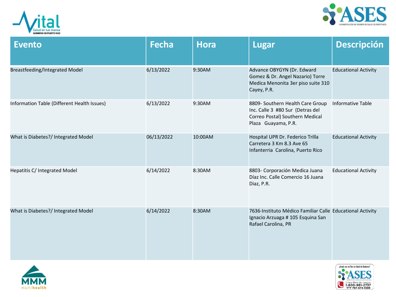



| <b>Evento</b>                               | <b>Fecha</b> | <b>Hora</b> | <b>Lugar</b>                                                                                                                   | <b>Descripción</b>          |
|---------------------------------------------|--------------|-------------|--------------------------------------------------------------------------------------------------------------------------------|-----------------------------|
| Breastfeeding/Integrated Model              | 6/13/2022    | 9:30AM      | Advance OBYGYN (Dr. Edward<br>Gomez & Dr. Angel Nazario) Torre<br>Medica Menonita 3er piso suite 310<br>Cayey, P.R.            | <b>Educational Activity</b> |
| Information Table (Different Health Issues) | 6/13/2022    | 9:30AM      | 8809- Southern Health Care Group<br>Inc. Calle 3 #80 Sur (Detras del<br>Correo Postal) Southern Medical<br>Plaza Guayama, P.R. | Informative Table           |
| What is Diabetes?/ Integrated Model         | 06/13/2022   | 10:00AM     | Hospital UPR Dr. Federico Trilla<br>Carretera 3 Km 8.3 Ave 65<br>Infanterria Carolina, Puerto Rico                             | <b>Educational Activity</b> |
| Hepatitis C/ Integrated Model               | 6/14/2022    | 8:30AM      | 8803- Corporación Medica Juana<br>Díaz Inc. Calle Comercio 16 Juana<br>Diaz, P.R.                                              | <b>Educational Activity</b> |
| What is Diabetes?/ Integrated Model         | 6/14/2022    | 8:30AM      | 7636-Instituto Médico Familiar Calle Educational Activity<br>Ignacio Arzuaga # 105 Esquina San<br>Rafael Carolina, PR          |                             |



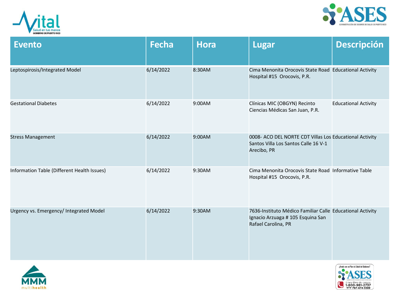



| <b>Evento</b>                               | <b>Fecha</b> | <b>Hora</b> | <b>Lugar</b>                                                                                                          | <b>Descripción</b>          |
|---------------------------------------------|--------------|-------------|-----------------------------------------------------------------------------------------------------------------------|-----------------------------|
| Leptospirosis/Integrated Model              | 6/14/2022    | 8:30AM      | Cima Menonita Orocovis State Road Educational Activity<br>Hospital #15 Orocovis, P.R.                                 |                             |
| <b>Gestational Diabetes</b>                 | 6/14/2022    | 9:00AM      | Clínicas MIC (OBGYN) Recinto<br>Ciencias Médicas San Juan, P.R.                                                       | <b>Educational Activity</b> |
| <b>Stress Management</b>                    | 6/14/2022    | 9:00AM      | 0008- ACO DEL NORTE CDT Villas Los Educational Activity<br>Santos Villa Los Santos Calle 16 V-1<br>Arecibo, PR        |                             |
| Information Table (Different Health Issues) | 6/14/2022    | 9:30AM      | Cima Menonita Orocovis State Road Informative Table<br>Hospital #15 Orocovis, P.R.                                    |                             |
| Urgency vs. Emergency/ Integrated Model     | 6/14/2022    | 9:30AM      | 7636-Instituto Médico Familiar Calle Educational Activity<br>Ignacio Arzuaga # 105 Esquina San<br>Rafael Carolina, PR |                             |



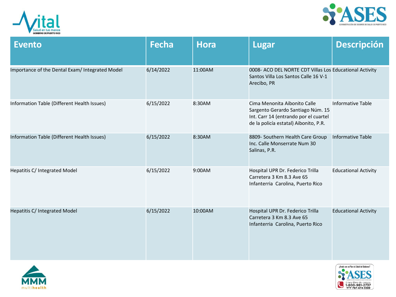



| <b>Evento</b>                                   | <b>Fecha</b> | <b>Hora</b> | <b>Lugar</b>                                                                                                                                        | <b>Descripción</b>          |
|-------------------------------------------------|--------------|-------------|-----------------------------------------------------------------------------------------------------------------------------------------------------|-----------------------------|
| Importance of the Dental Exam/ Integrated Model | 6/14/2022    | 11:00AM     | 0008- ACO DEL NORTE CDT Villas Los Educational Activity<br>Santos Villa Los Santos Calle 16 V-1<br>Arecibo, PR                                      |                             |
| Information Table (Different Health Issues)     | 6/15/2022    | 8:30AM      | Cima Menonita Aibonito Calle<br>Sargento Gerardo Santiago Núm. 15<br>Int. Carr 14 (entrando por el cuartel<br>de la policía estatal) Aibonito, P.R. | Informative Table           |
| Information Table (Different Health Issues)     | 6/15/2022    | 8:30AM      | 8809- Southern Health Care Group<br>Inc. Calle Monserrate Num 30<br>Salinas, P.R.                                                                   | <b>Informative Table</b>    |
| Hepatitis C/ Integrated Model                   | 6/15/2022    | 9:00AM      | Hospital UPR Dr. Federico Trilla<br>Carretera 3 Km 8.3 Ave 65<br>Infanterria Carolina, Puerto Rico                                                  | <b>Educational Activity</b> |
| Hepatitis C/ Integrated Model                   | 6/15/2022    | 10:00AM     | Hospital UPR Dr. Federico Trilla<br>Carretera 3 Km 8.3 Ave 65<br>Infanterria Carolina, Puerto Rico                                                  | <b>Educational Activity</b> |



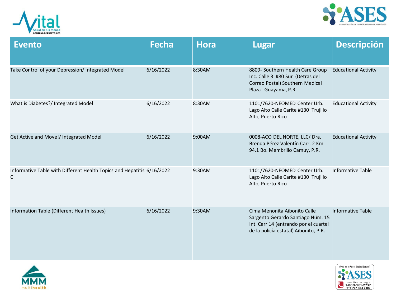



| <b>Evento</b>                                                               | <b>Fecha</b> | <b>Hora</b> | <b>Lugar</b>                                                                                                                                        | <b>Descripción</b>          |
|-----------------------------------------------------------------------------|--------------|-------------|-----------------------------------------------------------------------------------------------------------------------------------------------------|-----------------------------|
| Take Control of your Depression/ Integrated Model                           | 6/16/2022    | 8:30AM      | 8809- Southern Health Care Group<br>Inc. Calle 3 #80 Sur (Detras del<br>Correo Postal) Southern Medical<br>Plaza Guayama, P.R.                      | <b>Educational Activity</b> |
| What is Diabetes?/ Integrated Model                                         | 6/16/2022    | 8:30AM      | 1101/7620-NEOMED Center Urb.<br>Lago Alto Calle Carite #130 Trujillo<br>Alto, Puerto Rico                                                           | <b>Educational Activity</b> |
| Get Active and Move!/ Integrated Model                                      | 6/16/2022    | 9:00AM      | 0008-ACO DEL NORTE, LLC/ Dra.<br>Brenda Pérez Valentín Carr, 2 Km<br>94.1 Bo. Membrillo Camuy, P.R.                                                 | <b>Educational Activity</b> |
| Informative Table with Different Health Topics and Hepatitis 6/16/2022<br>C |              | 9:30AM      | 1101/7620-NEOMED Center Urb.<br>Lago Alto Calle Carite #130 Trujillo<br>Alto, Puerto Rico                                                           | <b>Informative Table</b>    |
| Information Table (Different Health Issues)                                 | 6/16/2022    | 9:30AM      | Cima Menonita Aibonito Calle<br>Sargento Gerardo Santiago Núm. 15<br>Int. Carr 14 (entrando por el cuartel<br>de la policía estatal) Aibonito, P.R. | <b>Informative Table</b>    |



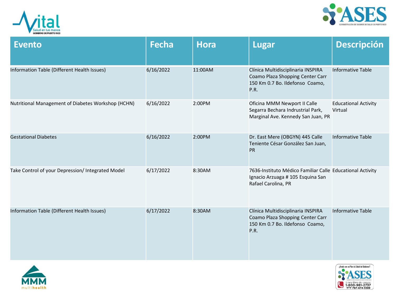



| <b>Evento</b>                                      | <b>Fecha</b> | <b>Hora</b> | <b>Lugar</b>                                                                                                             | <b>Descripción</b>                     |
|----------------------------------------------------|--------------|-------------|--------------------------------------------------------------------------------------------------------------------------|----------------------------------------|
| Information Table (Different Health Issues)        | 6/16/2022    | 11:00AM     | Clínica Multidisciplinaria INSPIRA<br>Coamo Plaza Shopping Center Carr<br>150 Km 0.7 Bo. Ildefonso Coamo,<br><b>P.R.</b> | <b>Informative Table</b>               |
| Nutritional Management of Diabetes Workshop (HCHN) | 6/16/2022    | 2:00PM      | Oficina MMM Newport II Calle<br>Segarra Bechara Indrustrial Park,<br>Marginal Ave. Kennedy San Juan, PR                  | <b>Educational Activity</b><br>Virtual |
| <b>Gestational Diabetes</b>                        | 6/16/2022    | 2:00PM      | Dr. East Mere (OBGYN) 445 Calle<br>Teniente César González San Juan,<br><b>PR</b>                                        | Informative Table                      |
| Take Control of your Depression/ Integrated Model  | 6/17/2022    | 8:30AM      | 7636-Instituto Médico Familiar Calle Educational Activity<br>Ignacio Arzuaga # 105 Esquina San<br>Rafael Carolina, PR    |                                        |
| Information Table (Different Health Issues)        | 6/17/2022    | 8:30AM      | Clínica Multidisciplinaria INSPIRA<br>Coamo Plaza Shopping Center Carr<br>150 Km 0.7 Bo. Ildefonso Coamo,<br>P.R.        | <b>Informative Table</b>               |



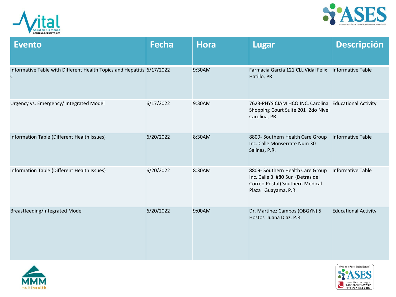



| <b>Evento</b>                                                               | <b>Fecha</b> | <b>Hora</b> | <b>Lugar</b>                                                                                                                   | <b>Descripción</b>          |
|-----------------------------------------------------------------------------|--------------|-------------|--------------------------------------------------------------------------------------------------------------------------------|-----------------------------|
| Informative Table with Different Health Topics and Hepatitis 6/17/2022<br>C |              | 9:30AM      | Farmacia García 121 CLL Vidal Felix<br>Hatillo, PR                                                                             | <b>Informative Table</b>    |
| Urgency vs. Emergency/ Integrated Model                                     | 6/17/2022    | 9:30AM      | 7623-PHYSICIAM HCO INC. Carolina Educational Activity<br>Shopping Court Suite 201 2do Nivel<br>Carolina, PR                    |                             |
| Information Table (Different Health Issues)                                 | 6/20/2022    | 8:30AM      | 8809- Southern Health Care Group<br>Inc. Calle Monserrate Num 30<br>Salinas, P.R.                                              | <b>Informative Table</b>    |
| Information Table (Different Health Issues)                                 | 6/20/2022    | 8:30AM      | 8809- Southern Health Care Group<br>Inc. Calle 3 #80 Sur (Detras del<br>Correo Postal) Southern Medical<br>Plaza Guayama, P.R. | <b>Informative Table</b>    |
| Breastfeeding/Integrated Model                                              | 6/20/2022    | 9:00AM      | Dr. Martínez Campos (OBGYN) 5<br>Hostos Juana Diaz, P.R.                                                                       | <b>Educational Activity</b> |



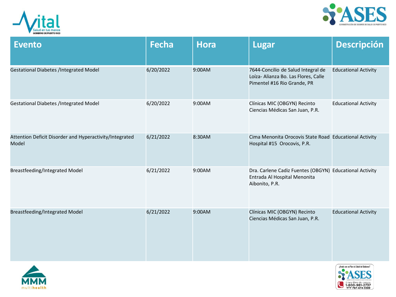



| <b>Evento</b>                                                    | <b>Fecha</b> | <b>Hora</b> | <b>Lugar</b>                                                                                              | <b>Descripción</b>          |
|------------------------------------------------------------------|--------------|-------------|-----------------------------------------------------------------------------------------------------------|-----------------------------|
| <b>Gestational Diabetes /Integrated Model</b>                    | 6/20/2022    | 9:00AM      | 7644-Concilio de Salud Integral de<br>Loíza- Alianza Bo. Las Flores, Calle<br>Pimentel #16 Rio Grande, PR | <b>Educational Activity</b> |
| <b>Gestational Diabetes /Integrated Model</b>                    | 6/20/2022    | 9:00AM      | Clínicas MIC (OBGYN) Recinto<br>Ciencias Médicas San Juan, P.R.                                           | <b>Educational Activity</b> |
| Attention Deficit Disorder and Hyperactivity/Integrated<br>Model | 6/21/2022    | 8:30AM      | Cima Menonita Orocovis State Road Educational Activity<br>Hospital #15 Orocovis, P.R.                     |                             |
| <b>Breastfeeding/Integrated Model</b>                            | 6/21/2022    | 9:00AM      | Dra. Carlene Cadiz Fuentes (OBGYN) Educational Activity<br>Entrada Al Hospital Menonita<br>Aibonito, P.R. |                             |
| <b>Breastfeeding/Integrated Model</b>                            | 6/21/2022    | 9:00AM      | Clínicas MIC (OBGYN) Recinto<br>Ciencias Médicas San Juan, P.R.                                           | <b>Educational Activity</b> |



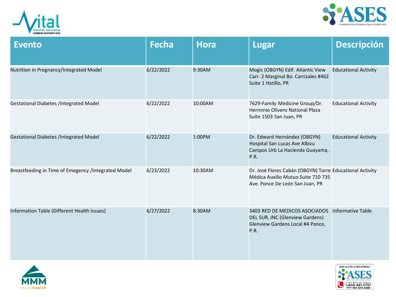



| <b>Evento</b>                                       | <b>Fecha</b> | <b>Hora</b> | <b>Lugar</b>                                                                                                                      | <b>Descripción</b>          |
|-----------------------------------------------------|--------------|-------------|-----------------------------------------------------------------------------------------------------------------------------------|-----------------------------|
| Nutrition in Pregnancy/Integrated Model             | 6/22/2022    | 9:30AM      | Mogic (OBGYN) Edif. Atlantic View<br>Carr. 2 Marginal Bo. Carrizales #462<br>Suite 1 Hatillo, PR                                  | <b>Educational Activity</b> |
| <b>Gestational Diabetes /Integrated Model</b>       | 6/22/2022    | 10:00AM     | 7629-Family Medicine Group/Dr.<br>Herminio Olivero National Plaza<br>Suite 1503 San Juan, PR                                      | <b>Educational Activity</b> |
| <b>Gestational Diabetes /Integrated Model</b>       | 6/22/2022    | 1:00PM      | Dr. Edward Hernández (OBGYN)<br>Hospital San Lucas Ave Albizu<br>Campos Urb La Hacienda Guayama,<br>P.R.                          | <b>Educational Activity</b> |
| Breastfeeding in Time of Emegency /Integrated Model | 6/23/2022    | 10:30AM     | Dr. José Flores Cabán (OBGYN) Torre Educational Activity<br>Médica Auxilio Mutuo Suite 710 735<br>Ave. Ponce De León San Juan, PR |                             |
| Information Table (Different Health Issues)         | 6/27/2022    | 8:30AM      | 3403 RED DE MEDICOS ASOCIADOS<br>DEL SUR, INC (Glenview Gardens)<br>Glenview Gardens Local #4 Ponce,<br>P.R.                      | Informative Table           |



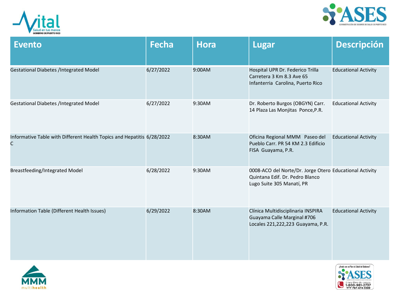



| <b>Evento</b>                                                               | <b>Fecha</b> | <b>Hora</b> | Lugar                                                                                                                   | <b>Descripción</b>          |
|-----------------------------------------------------------------------------|--------------|-------------|-------------------------------------------------------------------------------------------------------------------------|-----------------------------|
| <b>Gestational Diabetes /Integrated Model</b>                               | 6/27/2022    | 9:00AM      | Hospital UPR Dr. Federico Trilla<br>Carretera 3 Km 8.3 Ave 65<br>Infanterria Carolina, Puerto Rico                      | <b>Educational Activity</b> |
| <b>Gestational Diabetes /Integrated Model</b>                               | 6/27/2022    | 9:30AM      | Dr. Roberto Burgos (OBGYN) Carr.<br>14 Plaza Las Monjitas Ponce, P.R.                                                   | <b>Educational Activity</b> |
| Informative Table with Different Health Topics and Hepatitis 6/28/2022<br>C |              | 8:30AM      | Oficina Regional MMM Paseo del<br>Pueblo Carr. PR 54 KM 2.3 Edificio<br>FISA Guayama, P.R.                              | <b>Educational Activity</b> |
| Breastfeeding/Integrated Model                                              | 6/28/2022    | 9:30AM      | 0008-ACO del Norte/Dr. Jorge Otero Educational Activity<br>Quintana Edif. Dr. Pedro Blanco<br>Lugo Suite 305 Manatí, PR |                             |
| Information Table (Different Health Issues)                                 | 6/29/2022    | 8:30AM      | Clínica Multidisciplinaria INSPIRA<br>Guayama Calle Marginal #706<br>Locales 221,222,223 Guayama, P.R.                  | <b>Educational Activity</b> |